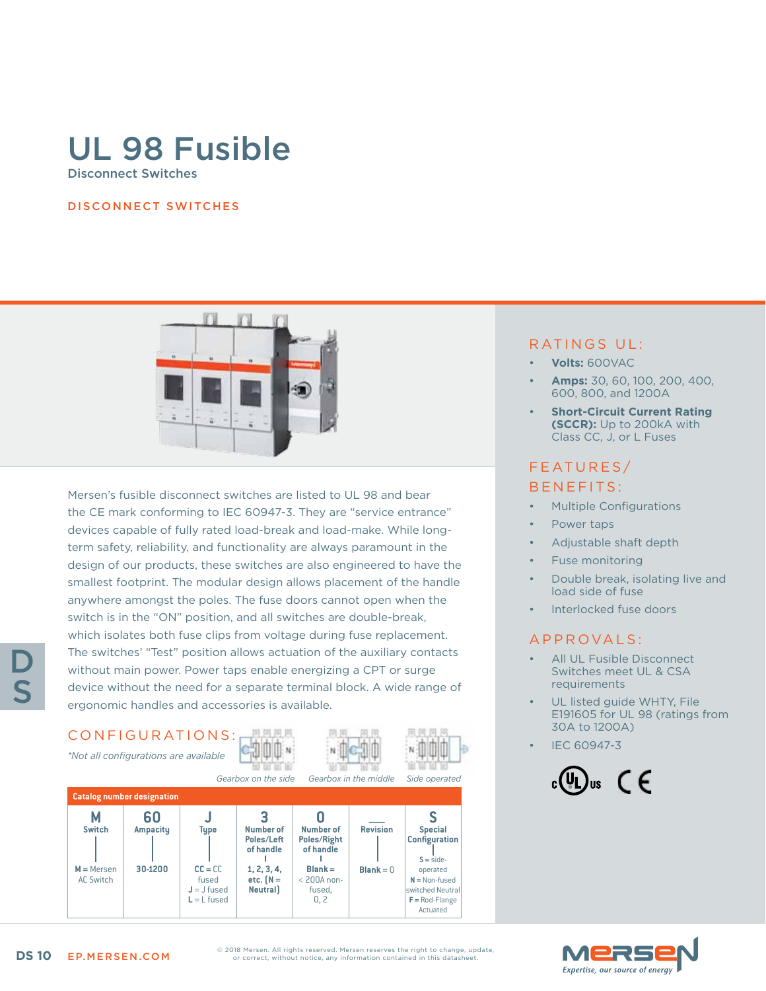# UL 98 Fusible Disconnect Switches

#### DISCONNECT SWITCHES



Mersen's fusible disconnect switches are listed to UL 98 and bear the CE mark conforming to IEC 60947-3. They are "service entrance" devices capable of fully rated load-break and load-make. While longterm safety, reliability, and functionality are always paramount in the design of our products, these switches are also engineered to have the smallest footprint. The modular design allows placement of the handle anywhere amongst the poles. The fuse doors cannot open when the switch is in the "ON" position, and all switches are double-break, which isolates both fuse clips from voltage during fuse replacement. The switches' "Test" position allows actuation of the auxiliary contacts without main power. Power taps enable energizing a CPT or surge device without the need for a separate terminal block. A wide range of ergonomic handles and accessories is available.

## CONFIGURATIONS:

*\*Not all configurations are available*





|                                   |                       |                                                      | Gearbox on the side<br>Gearbox in the middle |                                              |                 | Side operated                                                                    |  |  |  |
|-----------------------------------|-----------------------|------------------------------------------------------|----------------------------------------------|----------------------------------------------|-----------------|----------------------------------------------------------------------------------|--|--|--|
| <b>Catalog number designation</b> |                       |                                                      |                                              |                                              |                 |                                                                                  |  |  |  |
| <b>Switch</b>                     | 60<br><b>Ampacity</b> | <b>Type</b>                                          | Number of<br>Poles/Left<br>of handle         | Number of<br>Poles/Right<br>of handle        | <b>Revision</b> | <b>Special</b><br><b>Configuration</b><br>$S = side$                             |  |  |  |
| $M =$ Mersen<br><b>AC Switch</b>  | 30-1200               | $CC = CC$<br>fused<br>$J = J$ fused<br>$L = L$ fused | 1, 2, 3, 4,<br>etc. $[N =$<br><b>Neutral</b> | $Blank =$<br>$<$ 200A non-<br>fused.<br>0, 2 | $Blank = 0$     | operated<br>$N =$ Non-fused<br>switched Neutral<br>$F = Rod$ -Flange<br>Actuated |  |  |  |

### RATINGS UL:

- **Volts:** 600VAC
- **Amps:** 30, 60, 100, 200, 400, 600, 800, and 1200A
- **Short-Circuit Current Rating (SCCR):** Up to 200kA with Class CC, J, or L Fuses

## FEATURES/ BENEFITS:

- Multiple Configurations
- Power taps
- Adjustable shaft depth
- Fuse monitoring
- Double break, isolating live and load side of fuse
- Interlocked fuse doors

### APPROVALS:

- All UL Fusible Disconnect Switches meet UL & CSA requirements
- UL listed guide WHTY, File E191605 for UL 98 (ratings from 30A to 1200A)
- IEC 60947-3





D

S

© 2018 Mersen. All rights reserved. Mersen reserves the right to change, update, or correct, without notice, any information contained in this datasheet.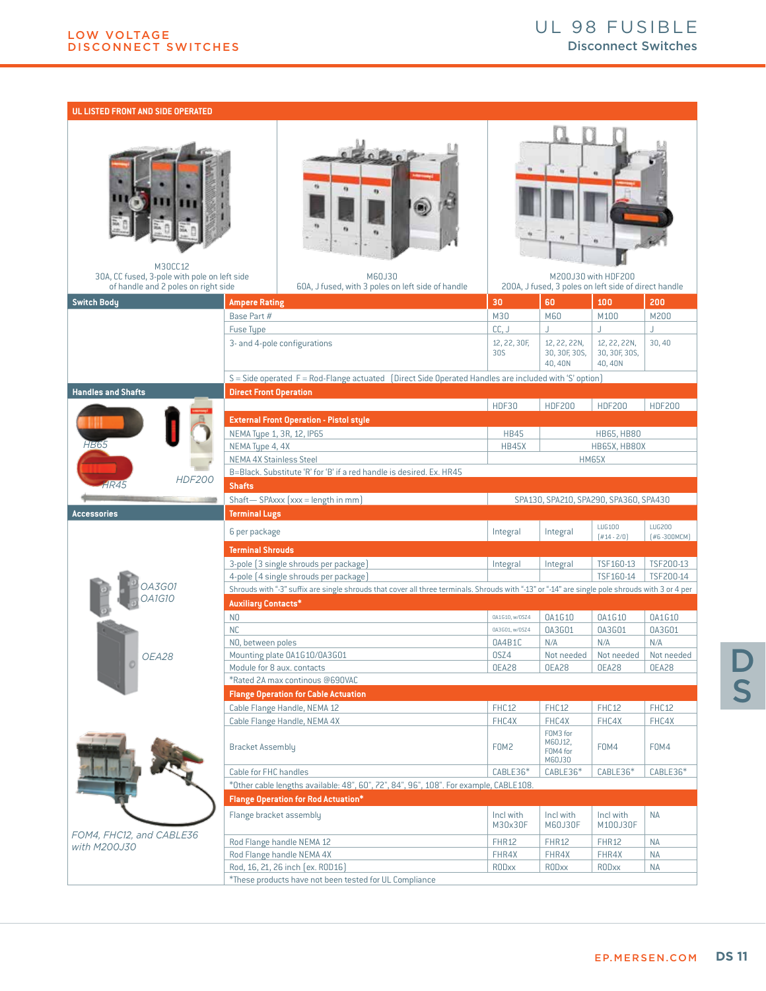#### **UL LISTED FRONT AND SIDE OPERATED**

| M30CC12<br>30A, CC fused, 3-pole with pole on left side<br>of handle and 2 poles on right side |                                                                      | M60J30<br>60A, J fused, with 3 poles on left side of handle                                                                                     |                               | 200A, J fused, 3 poles on left side of direct handle | M200J30 with HDF200                     |                           |  |  |  |
|------------------------------------------------------------------------------------------------|----------------------------------------------------------------------|-------------------------------------------------------------------------------------------------------------------------------------------------|-------------------------------|------------------------------------------------------|-----------------------------------------|---------------------------|--|--|--|
| <b>Switch Body</b>                                                                             | <b>Ampere Rating</b>                                                 |                                                                                                                                                 | 30                            | 60                                                   | 100                                     | 200                       |  |  |  |
|                                                                                                | Base Part #                                                          |                                                                                                                                                 | M30                           | M60                                                  | M100                                    | M200                      |  |  |  |
|                                                                                                | Fuse Type                                                            |                                                                                                                                                 | CC, J                         | J.                                                   | J.                                      | J                         |  |  |  |
|                                                                                                |                                                                      | 3- and 4-pole configurations                                                                                                                    | 12, 22, 30F,<br>30S           | 12, 22, 22N,<br>30, 30F, 30S,<br>40.40N              | 12, 22, 22N,<br>30, 30F, 30S,<br>40,40N | 30,40                     |  |  |  |
|                                                                                                |                                                                      | S = Side operated F = Rod-Flange actuated (Direct Side Operated Handles are included with 'S' option)                                           |                               |                                                      |                                         |                           |  |  |  |
| <b>Handles and Shafts</b>                                                                      | <b>Direct Front Operation</b>                                        |                                                                                                                                                 |                               |                                                      |                                         |                           |  |  |  |
|                                                                                                |                                                                      |                                                                                                                                                 | HDF30                         | <b>HDF200</b>                                        | <b>HDF200</b>                           | <b>HDF200</b>             |  |  |  |
|                                                                                                |                                                                      | <b>External Front Operation - Pistol style</b>                                                                                                  |                               |                                                      |                                         |                           |  |  |  |
|                                                                                                |                                                                      | NEMA Type 1, 3R, 12, IP65                                                                                                                       | <b>HB45</b>                   |                                                      | <b>HB65, HB80</b>                       |                           |  |  |  |
| <b>HB65</b>                                                                                    | NEMA Type 4, 4X                                                      |                                                                                                                                                 | <b>HB45X</b>                  |                                                      | HB65X, HB80X                            |                           |  |  |  |
|                                                                                                | <b>NEMA 4X Stainless Steel</b>                                       |                                                                                                                                                 |                               | <b>HM65X</b>                                         |                                         |                           |  |  |  |
| <b>HDF200</b>                                                                                  | B=Black. Substitute 'R' for 'B' if a red handle is desired. Ex. HR45 |                                                                                                                                                 |                               |                                                      |                                         |                           |  |  |  |
| <b>R45</b>                                                                                     | <b>Shafts</b>                                                        |                                                                                                                                                 |                               |                                                      |                                         |                           |  |  |  |
|                                                                                                |                                                                      | Shaft-SPAxxx (xxx = length in mm)<br>SPA130, SPA210, SPA290, SPA360, SPA430                                                                     |                               |                                                      |                                         |                           |  |  |  |
|                                                                                                | <b>Terminal Lugs</b>                                                 |                                                                                                                                                 |                               |                                                      |                                         |                           |  |  |  |
| <b>Accessories</b>                                                                             |                                                                      |                                                                                                                                                 |                               |                                                      |                                         |                           |  |  |  |
|                                                                                                | 6 per package                                                        |                                                                                                                                                 | Integral                      | Integral                                             | LUG100<br>$[#14 - 2/0]$                 | LUG200<br>$[#6 - 300MCM]$ |  |  |  |
|                                                                                                | <b>Terminal Shrouds</b>                                              |                                                                                                                                                 |                               |                                                      |                                         |                           |  |  |  |
|                                                                                                |                                                                      | 3-pole (3 single shrouds per package)                                                                                                           | Integral                      | Integral                                             | TSF160-13                               | TSF200-13                 |  |  |  |
|                                                                                                |                                                                      | 4-pole (4 single shrouds per package)                                                                                                           |                               |                                                      | TSF160-14                               | TSF200-14                 |  |  |  |
| A3G01                                                                                          |                                                                      | Shrouds with "-3" suffix are single shrouds that cover all three terminals. Shrouds with "-13" or "-14" are single pole shrouds with 3 or 4 per |                               |                                                      |                                         |                           |  |  |  |
| <b>DA1G10</b>                                                                                  | <b>Auxiliary Contacts*</b>                                           |                                                                                                                                                 |                               |                                                      |                                         |                           |  |  |  |
|                                                                                                | N <sub>0</sub>                                                       |                                                                                                                                                 | 0A1G10, w/0SZ4                | 0A1G10                                               | 0A1G10                                  | 0A1G10                    |  |  |  |
|                                                                                                | <b>NC</b>                                                            |                                                                                                                                                 | 0A3G01, w/0SZ4                | 0A3G01                                               | 0A3G01                                  | 0A3G01                    |  |  |  |
|                                                                                                | NO, between poles                                                    |                                                                                                                                                 | 0A4B1C                        | N/A                                                  | N/A                                     | N/A                       |  |  |  |
| OEA28                                                                                          |                                                                      | Mounting plate 0A1G10/0A3G01                                                                                                                    | OSZ4                          | Not needed                                           | Not needed                              | Not needed                |  |  |  |
|                                                                                                |                                                                      | Module for 8 aux. contacts                                                                                                                      | OEA28                         | OEA28                                                | OEA28                                   | OEA28                     |  |  |  |
|                                                                                                |                                                                      | *Rated 2A max continous @690VAC                                                                                                                 |                               |                                                      |                                         |                           |  |  |  |
|                                                                                                |                                                                      | <b>Flange Operation for Cable Actuation</b>                                                                                                     |                               |                                                      |                                         |                           |  |  |  |
|                                                                                                |                                                                      | Cable Flange Handle, NEMA 12                                                                                                                    | FHC12                         | FHC12                                                | FHC12                                   | FHC12                     |  |  |  |
|                                                                                                |                                                                      | Cable Flange Handle, NEMA 4X                                                                                                                    | FHC4X                         | FHC4X                                                | FHC4X                                   | FHC4X                     |  |  |  |
|                                                                                                | <b>Bracket Assembly</b>                                              |                                                                                                                                                 | F <sub>0</sub> M <sub>2</sub> | FOM3 for<br>M60J12,<br>FOM4 for<br>M60J30            | F0M4                                    | F0M4                      |  |  |  |
|                                                                                                | Cable for FHC handles                                                |                                                                                                                                                 | CABLE36*                      | CABLE36*                                             | CABLE36*                                | CABLE36*                  |  |  |  |
|                                                                                                |                                                                      | *Other cable lengths available: 48", 60", 72", 84", 96", 108". For example, CABLE108.                                                           |                               |                                                      |                                         |                           |  |  |  |
|                                                                                                |                                                                      | <b>Flange Operation for Rod Actuation*</b>                                                                                                      |                               |                                                      |                                         |                           |  |  |  |
|                                                                                                | Flange bracket assembly                                              |                                                                                                                                                 | Incl with<br>M30x30F          | Incl with<br>M60J30F                                 | Incl with<br>M100J30F                   | <b>NA</b>                 |  |  |  |
| FOM4, FHC12, and CABLE36                                                                       |                                                                      | Rod Flange handle NEMA 12                                                                                                                       | <b>FHR12</b>                  | <b>FHR12</b>                                         | <b>FHR12</b>                            | NA                        |  |  |  |
| with M200J30                                                                                   |                                                                      | Rod Flange handle NEMA 4X                                                                                                                       | FHR4X                         | FHR4X                                                | FHR4X                                   | <b>NA</b>                 |  |  |  |
|                                                                                                |                                                                      | Rod, 16, 21, 26 inch (ex. ROD16)                                                                                                                | <b>RODxx</b>                  | <b>RODxx</b>                                         | <b>RODxx</b>                            | NA                        |  |  |  |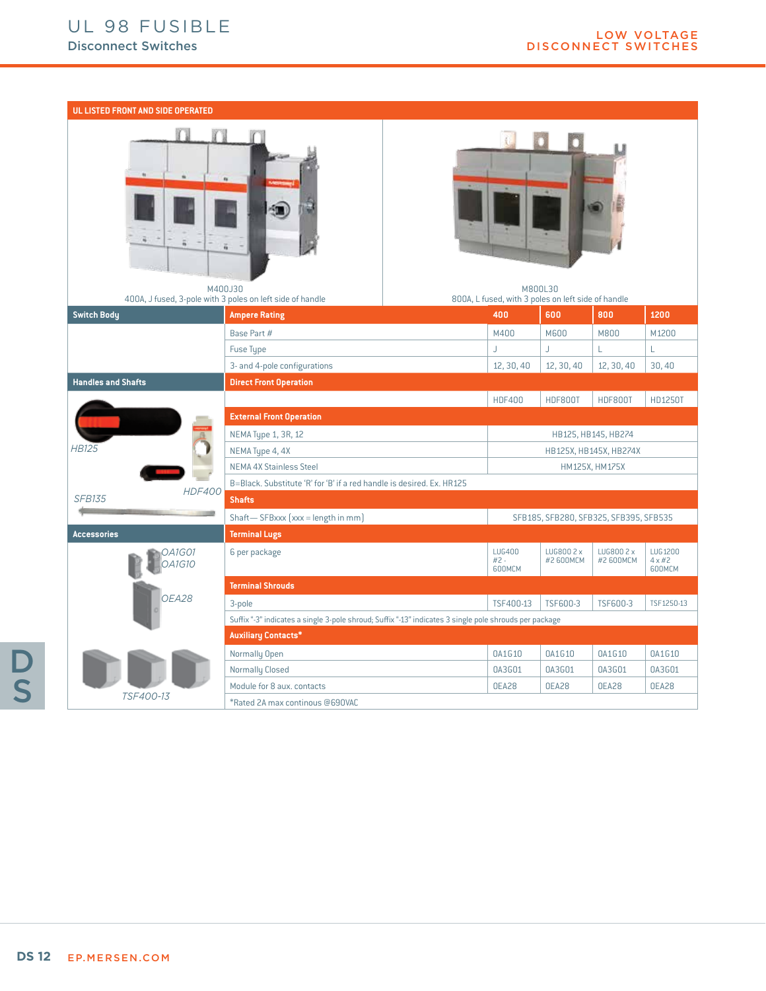#### **UL LISTED FRONT AND SIDE OPERATED**





| M400J30<br>400A, J fused, 3-pole with 3 poles on left side of handle |                                                                                                        |                                        | M800L30<br>800A, L fused, with 3 poles on left side of handle |                         |                         |                                     |  |  |
|----------------------------------------------------------------------|--------------------------------------------------------------------------------------------------------|----------------------------------------|---------------------------------------------------------------|-------------------------|-------------------------|-------------------------------------|--|--|
| <b>Switch Body</b>                                                   | <b>Ampere Rating</b>                                                                                   |                                        | 400                                                           | 600                     | 800                     | 1200                                |  |  |
|                                                                      | Base Part #                                                                                            |                                        | M400                                                          | <b>M600</b>             | M800                    | M1200                               |  |  |
|                                                                      | Fuse Type                                                                                              |                                        |                                                               | J.                      |                         |                                     |  |  |
|                                                                      | 3- and 4-pole configurations                                                                           |                                        | 12, 30, 40                                                    | 12, 30, 40              | 12, 30, 40              | 30,40                               |  |  |
| <b>Handles and Shafts</b>                                            | <b>Direct Front Operation</b>                                                                          |                                        |                                                               |                         |                         |                                     |  |  |
|                                                                      |                                                                                                        | <b>HDF400</b>                          | <b>HDF800T</b>                                                | HDF800T                 | HD1250T                 |                                     |  |  |
|                                                                      | <b>External Front Operation</b>                                                                        |                                        |                                                               |                         |                         |                                     |  |  |
|                                                                      | NEMA Type 1, 3R, 12                                                                                    | HB125, HB145, HB274                    |                                                               |                         |                         |                                     |  |  |
| <b>HB125</b>                                                         | NEMA Type 4, 4X                                                                                        | HB125X, HB145X, HB274X                 |                                                               |                         |                         |                                     |  |  |
|                                                                      | <b>NEMA 4X Stainless Steel</b>                                                                         | HM125X, HM175X                         |                                                               |                         |                         |                                     |  |  |
| <b>HDF400</b>                                                        | B=Black, Substitute 'R' for 'B' if a red handle is desired, Ex. HR125                                  |                                        |                                                               |                         |                         |                                     |  |  |
| <b>SFB135</b>                                                        | <b>Shafts</b>                                                                                          |                                        |                                                               |                         |                         |                                     |  |  |
|                                                                      | Shaft-SFBxxx [xxx = length in mm]                                                                      | SFB185, SFB280, SFB325, SFB395, SFB535 |                                                               |                         |                         |                                     |  |  |
| <b>Accessories</b>                                                   | <b>Terminal Lugs</b>                                                                                   |                                        |                                                               |                         |                         |                                     |  |  |
| 1A1G01<br><b>OA1G10</b>                                              | 6 per package                                                                                          |                                        | <b>LUG400</b><br>$#2 -$<br>600MCM                             | LUG800 2 x<br>#2 600MCM | LUG800 2 x<br>#2 600MCM | LUG1200<br>$4 \times \#2$<br>600MCM |  |  |
|                                                                      | <b>Terminal Shrouds</b>                                                                                |                                        |                                                               |                         |                         |                                     |  |  |
| OEA28                                                                | 3-pole                                                                                                 |                                        | TSF400-13                                                     | TSF600-3                | TSF600-3                | TSF1250-13                          |  |  |
|                                                                      | Suffix "-3" indicates a single 3-pole shroud; Suffix "-13" indicates 3 single pole shrouds per package |                                        |                                                               |                         |                         |                                     |  |  |
|                                                                      | <b>Auxiliary Contacts*</b>                                                                             |                                        |                                                               |                         |                         |                                     |  |  |
|                                                                      | Normally Open                                                                                          |                                        | 0A1G10                                                        | 0A1G10                  | 0A1G10                  | 0A1G10                              |  |  |
|                                                                      | Normally Closed                                                                                        |                                        | 0A3G01                                                        | 0A3G01                  | 0A3G01                  | 0A3G01                              |  |  |
|                                                                      | Module for 8 aux. contacts                                                                             |                                        | OEA28                                                         | OEA28                   | OEA28                   | OEA28                               |  |  |
| TSF400-13                                                            | *Rated 2A max continous @690VAC                                                                        |                                        |                                                               |                         |                         |                                     |  |  |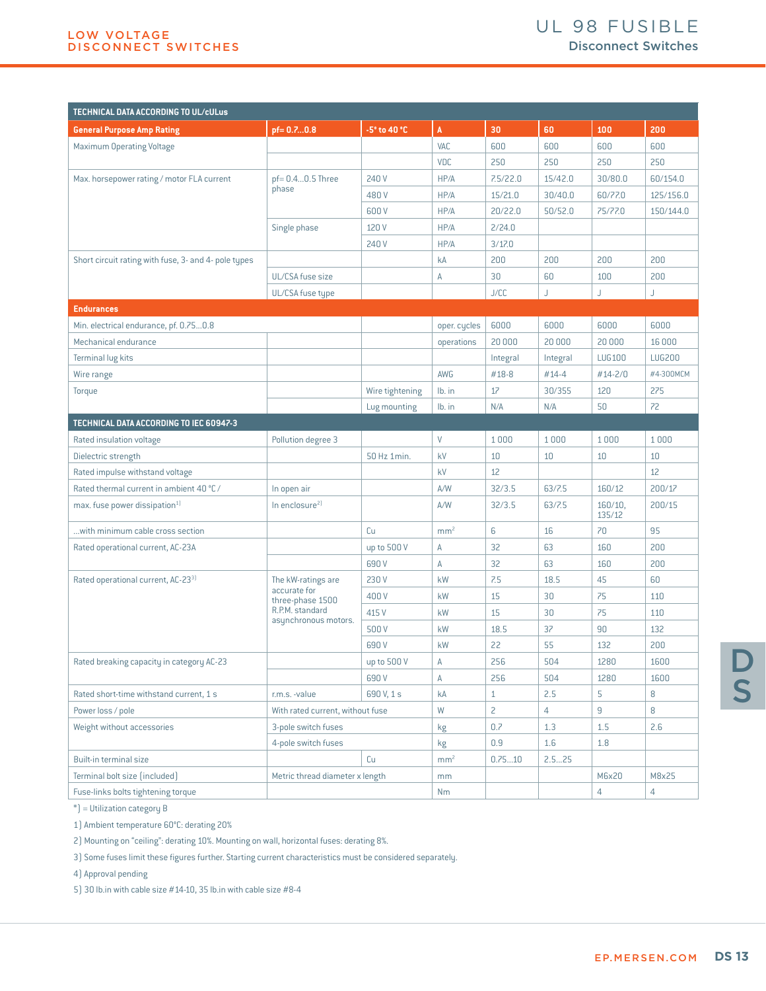| TECHNICAL DATA ACCORDING TO UL/cULus                 |                                                                             |                 |                 |                |                |                   |                |
|------------------------------------------------------|-----------------------------------------------------------------------------|-----------------|-----------------|----------------|----------------|-------------------|----------------|
| <b>General Purpose Amp Rating</b>                    | pf=0.70.8                                                                   | -5° to 40 °C    | $\mathbf{A}$    | 30             | 60             | 100               | 200            |
| <b>Maximum Operating Voltage</b>                     |                                                                             |                 | VAC             | 600            | 600            | 600               | 600            |
|                                                      |                                                                             |                 | <b>VDC</b>      | 250            | 250            | 250               | 250            |
| Max. horsepower rating / motor FLA current           | $pf = 0.40.5$ Three<br>phase                                                | 240 V           | HP/A            | 7.5/22.0       | 15/42.0        | 30/80.0           | 60/154.0       |
|                                                      |                                                                             | 480V            | HP/A            | 15/21.0        | 30/40.0        | 60/77.0           | 125/156.0      |
|                                                      |                                                                             | 600 V           | HP/A            | 20/22.0        | 50/52.0        | 75/77.0           | 150/144.0      |
|                                                      | Single phase                                                                | 120 V           | HP/A            | 2/24.0         |                |                   |                |
|                                                      |                                                                             | 240 V           | HP/A            | 3/17.0         |                |                   |                |
| Short circuit rating with fuse, 3- and 4- pole types |                                                                             |                 | kA              | 200            | 200            | 200               | 200            |
|                                                      | UL/CSA fuse size                                                            |                 | Α               | 30             | 60             | 100               | 200            |
|                                                      | UL/CSA fuse type                                                            |                 |                 | J/CC           | J              | J                 | J              |
| <b>Endurances</b>                                    |                                                                             |                 |                 |                |                |                   |                |
| Min. electrical endurance, pf. 0.750.8               |                                                                             |                 | oper. cycles    | 6000           | 6000           | 6000              | 6000           |
| Mechanical endurance                                 |                                                                             |                 | operations      | 20 000         | 20 000         | 20 000            | 16 000         |
| Terminal lug kits                                    |                                                                             |                 |                 | Integral       | Integral       | <b>LUG100</b>     | <b>LUG200</b>  |
| Wire range                                           |                                                                             |                 | AWG             | #18-8          | #14-4          | #14-2/0           | #4-300MCM      |
| Torque                                               |                                                                             | Wire tightening | lb. in          | 17             | 30/355         | 120               | 275            |
|                                                      |                                                                             | Lug mounting    | lb. in          | N/A            | N/A            | 50                | 72             |
| TECHNICAL DATA ACCORDING TO IEC 60947-3              |                                                                             |                 |                 |                |                |                   |                |
| Rated insulation voltage                             | Pollution degree 3                                                          |                 | V               | 1000           | 1000           | 1000              | 1000           |
| Dielectric strength                                  |                                                                             | 50 Hz 1min.     | kV              | 10             | 10             | 10                | 10             |
| Rated impulse withstand voltage                      |                                                                             |                 | kV              | 12             |                |                   | 12             |
| Rated thermal current in ambient 40 °C /             | In open air                                                                 |                 | A/W             | 32/3.5         | 63/7.5         | 160/12            | 200/17         |
| max. fuse power dissipation <sup>1)</sup>            | In enclosure <sup>2)</sup>                                                  |                 | A/W             | 32/3.5         | 63/7.5         | 160/10,<br>135/12 | 200/15         |
| with minimum cable cross section                     |                                                                             | Cu              | mm <sup>2</sup> | 6              | 16             | 70                | 95             |
| Rated operational current, AC-23A                    |                                                                             | up to 500 V     | Α               | 32             | 63             | 160               | 200            |
|                                                      |                                                                             | 690 V           | Α               | 32             | 63             | 160               | 200            |
| Rated operational current, AC-23 <sup>3)</sup>       | The kW-ratings are                                                          | 230V            | kW              | 7.5            | 18.5           | 45                | 60             |
|                                                      | accurate for<br>three-phase 1500<br>R.P.M. standard<br>asynchronous motors. | 400V            | kW              | 15             | 30             | 75                | 110            |
|                                                      |                                                                             | 415 V           | kW              | 15             | 30             | 75                | 110            |
|                                                      |                                                                             | 500 V           | kW              | 18.5           | 37             | 90                | 132            |
|                                                      |                                                                             | 690 V           | kW              | 22             | 55             | 132               | 200            |
| Rated breaking capacity in category AC-23            |                                                                             | up to 500 V     | Α               | 256            | 504            | 1280              | 1600           |
|                                                      |                                                                             | 690 V           | A               | 256            | 504            | 1280              | 1600           |
| Rated short-time withstand current, 1 s              | r.m.s. -value                                                               | 690 V, 1 s      | kA              | $\mathbf{1}$   | 2.5            | 5                 | 8              |
| Power loss / pole                                    | With rated current, without fuse                                            |                 | W               | $\overline{c}$ | $\overline{4}$ | $\overline{9}$    | 8              |
| Weight without accessories                           | 3-pole switch fuses                                                         |                 | kg              | 0.7            | 1.3            | 1.5               | 2.6            |
|                                                      | 4-pole switch fuses                                                         |                 | kg              | 0.9            | 1.6            | 1.8               |                |
| Built-in terminal size                               |                                                                             | Cu              | mm <sup>2</sup> | 0.7510         | 2.525          |                   |                |
| Terminal bolt size (included)                        | Metric thread diameter x length                                             |                 | mm              |                |                | M6x20             | M8x25          |
| Fuse-links bolts tightening torque                   |                                                                             |                 | <b>Nm</b>       |                |                | 4                 | $\overline{4}$ |

\*) = Utilization category B

1) Ambient temperature 60°C: derating 20%

2) Mounting on "ceiling": derating 10%. Mounting on wall, horizontal fuses: derating 8%.

3) Some fuses limit these figures further. Starting current characteristics must be considered separately.

4) Approval pending

5) 30 lb.in with cable size #14-10, 35 lb.in with cable size #8-4